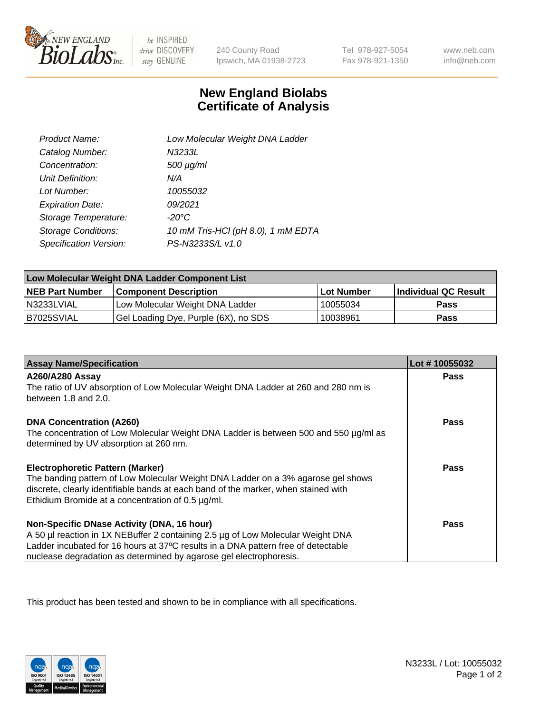

 $be$  INSPIRED drive DISCOVERY stay GENUINE

240 County Road Ipswich, MA 01938-2723 Tel 978-927-5054 Fax 978-921-1350

www.neb.com info@neb.com

## **New England Biolabs Certificate of Analysis**

| Product Name:              | Low Molecular Weight DNA Ladder    |
|----------------------------|------------------------------------|
| Catalog Number:            | N3233L                             |
| Concentration:             | $500 \mu g/ml$                     |
| Unit Definition:           | N/A                                |
| Lot Number:                | 10055032                           |
| <b>Expiration Date:</b>    | 09/2021                            |
| Storage Temperature:       | $-20^{\circ}$ C                    |
| <b>Storage Conditions:</b> | 10 mM Tris-HCl (pH 8.0), 1 mM EDTA |
| Specification Version:     | PS-N3233S/L v1.0                   |

| Low Molecular Weight DNA Ladder Component List |                                      |                   |                      |  |
|------------------------------------------------|--------------------------------------|-------------------|----------------------|--|
| <b>NEB Part Number</b>                         | <b>Component Description</b>         | <b>Lot Number</b> | Individual QC Result |  |
| N3233LVIAL                                     | Low Molecular Weight DNA Ladder      | 10055034          | <b>Pass</b>          |  |
| B7025SVIAL                                     | Gel Loading Dye, Purple (6X), no SDS | 10038961          | <b>Pass</b>          |  |

| <b>Assay Name/Specification</b>                                                                                                                                        | Lot #10055032 |
|------------------------------------------------------------------------------------------------------------------------------------------------------------------------|---------------|
| <b>A260/A280 Assay</b>                                                                                                                                                 | <b>Pass</b>   |
| The ratio of UV absorption of Low Molecular Weight DNA Ladder at 260 and 280 nm is<br>between 1.8 and 2.0.                                                             |               |
| <b>DNA Concentration (A260)</b>                                                                                                                                        | Pass          |
| The concentration of Low Molecular Weight DNA Ladder is between 500 and 550 µg/ml as<br>determined by UV absorption at 260 nm.                                         |               |
| <b>Electrophoretic Pattern (Marker)</b>                                                                                                                                | Pass          |
| The banding pattern of Low Molecular Weight DNA Ladder on a 3% agarose gel shows<br>discrete, clearly identifiable bands at each band of the marker, when stained with |               |
| Ethidium Bromide at a concentration of 0.5 µg/ml.                                                                                                                      |               |
| Non-Specific DNase Activity (DNA, 16 hour)                                                                                                                             | Pass          |
| A 50 µl reaction in 1X NEBuffer 2 containing 2.5 µg of Low Molecular Weight DNA                                                                                        |               |
| Ladder incubated for 16 hours at 37°C results in a DNA pattern free of detectable                                                                                      |               |
| nuclease degradation as determined by agarose gel electrophoresis.                                                                                                     |               |

This product has been tested and shown to be in compliance with all specifications.